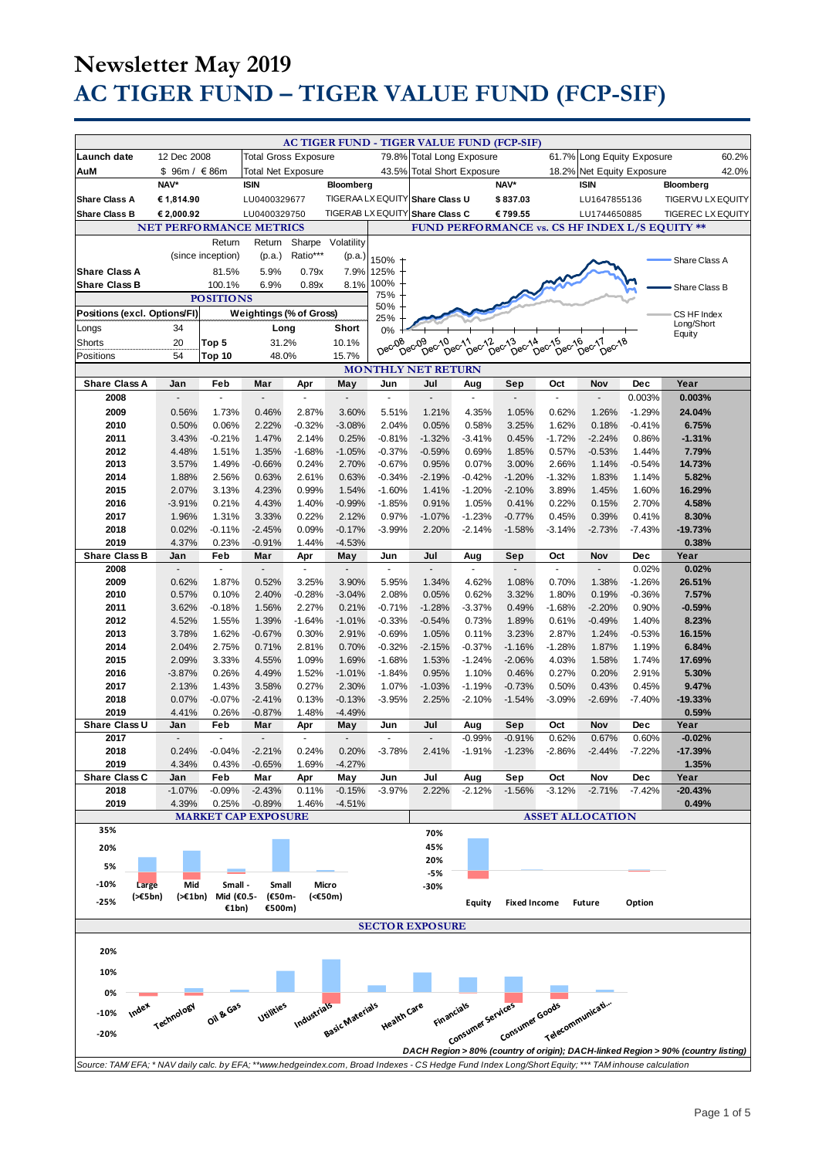|                                                                                                                                                     |                                |                       |                             |                       |                            |                   | AC TIGER FUND - TIGER VALUE FUND (FCP-SIF) |                                     |                                                                                       |                  |                            |              |                                                                                   |       |
|-----------------------------------------------------------------------------------------------------------------------------------------------------|--------------------------------|-----------------------|-----------------------------|-----------------------|----------------------------|-------------------|--------------------------------------------|-------------------------------------|---------------------------------------------------------------------------------------|------------------|----------------------------|--------------|-----------------------------------------------------------------------------------|-------|
| Launch date                                                                                                                                         | 12 Dec 2008                    |                       | <b>Total Gross Exposure</b> |                       |                            | 79.8%             | <b>Total Long Exposure</b>                 |                                     |                                                                                       |                  | 61.7% Long Equity Exposure |              |                                                                                   | 60.2% |
|                                                                                                                                                     |                                |                       |                             |                       |                            |                   |                                            |                                     |                                                                                       |                  |                            |              |                                                                                   |       |
| AuM                                                                                                                                                 | \$96m / €86m<br>NAV*           |                       | <b>Total Net Exposure</b>   |                       |                            | 43.5%             | <b>Total Short Exposure</b>                |                                     | NAV*                                                                                  | 18.2%            | Net Equity Exposure        |              |                                                                                   | 42.0% |
|                                                                                                                                                     |                                |                       | <b>ISIN</b>                 |                       | Bloomberg                  |                   |                                            |                                     |                                                                                       |                  | <b>ISIN</b>                |              | Bloomberg                                                                         |       |
| <b>Share Class A</b>                                                                                                                                | € 1,814.90                     |                       | LU0400329677                |                       |                            | TIGERAA LX EQUITY | <b>Share Class U</b>                       |                                     | \$837.03                                                                              |                  | LU1647855136               |              | TIGERVU LX EQUITY                                                                 |       |
| <b>Share Class B</b>                                                                                                                                | € 2,000.92                     |                       | LU0400329750                |                       |                            | TIGERAB LX EQUITY | Share Class C                              |                                     | €799.55                                                                               |                  | LU1744650885               |              | <b>TIGEREC LX EQUITY</b>                                                          |       |
|                                                                                                                                                     | <b>NET PERFORMANCE METRICS</b> |                       |                             |                       |                            |                   |                                            |                                     |                                                                                       |                  |                            |              | FUND PERFORMANCE vs. CS HF INDEX L/S EQUITY **                                    |       |
|                                                                                                                                                     |                                | Return                | Return                      |                       | Sharpe Volatility          |                   |                                            |                                     |                                                                                       |                  |                            |              |                                                                                   |       |
|                                                                                                                                                     |                                | (since inception)     | (p.a.)                      | Ratio***              | (p.a.)                     | 150%              |                                            |                                     |                                                                                       |                  |                            |              | Share Class A                                                                     |       |
| <b>Share Class A</b>                                                                                                                                |                                | 81.5%                 | 5.9%                        | 0.79x                 | 7.9%                       | 125%              |                                            |                                     |                                                                                       |                  |                            |              |                                                                                   |       |
| <b>Share Class B</b>                                                                                                                                |                                | 100.1%                | 6.9%                        | 0.89x                 | 8.1%                       | 100%              |                                            |                                     |                                                                                       |                  |                            |              | Share Class B                                                                     |       |
|                                                                                                                                                     |                                | <b>POSITIONS</b>      |                             |                       |                            | 75%               |                                            |                                     |                                                                                       |                  |                            |              |                                                                                   |       |
| Positions (excl. Options/FI)                                                                                                                        |                                |                       | Weightings (% of Gross)     |                       |                            | 50%               |                                            |                                     |                                                                                       |                  |                            |              | CS HF Index                                                                       |       |
| Longs                                                                                                                                               | 34                             |                       | Long                        |                       | Short                      | 25%<br>0%         |                                            |                                     |                                                                                       |                  |                            |              | Long/Short                                                                        |       |
| Shorts                                                                                                                                              | 20                             | Top 5                 | 31.2%                       |                       | 10.1%                      |                   |                                            |                                     |                                                                                       |                  |                            |              | Equity                                                                            |       |
| Positions                                                                                                                                           | 54                             | Top 10                | 48.0%                       |                       | 15.7%                      | Dec-08            | Dec <sub>09</sub>                          | 09 09 00 11 00 12<br>Dec-10 00 12 0 | $De^{c^{\lambda_{\Delta}^{\Lambda}}}$<br>$\overline{D}e^{\overline{C}}$ <sup>13</sup> | Dec-15<br>Dec-16 | Dec-17<br>Dec-18           |              |                                                                                   |       |
|                                                                                                                                                     |                                |                       |                             |                       |                            |                   | <b>MONTHLY NET RETURN</b>                  |                                     |                                                                                       |                  |                            |              |                                                                                   |       |
| <b>Share Class A</b>                                                                                                                                | Jan                            | Feb                   | Mar                         | Apr                   | May                        | Jun               | Jul                                        | Aug                                 | Sep                                                                                   | Oct              | Nov                        | Dec          | Year                                                                              |       |
| 2008                                                                                                                                                | $\overline{a}$                 | $\tilde{\phantom{a}}$ | L.                          | ä,                    | ÷,                         | $\omega$          | $\overline{a}$                             | ä,                                  | $\Box$                                                                                | ä,               | ä,                         | 0.003%       | 0.003%                                                                            |       |
| 2009                                                                                                                                                | 0.56%                          | 1.73%                 | 0.46%                       | 2.87%                 | 3.60%                      | 5.51%             | 1.21%                                      | 4.35%                               | 1.05%                                                                                 | 0.62%            | 1.26%                      | $-1.29%$     | 24.04%                                                                            |       |
| 2010                                                                                                                                                | 0.50%                          | 0.06%                 | 2.22%                       | $-0.32%$              | $-3.08%$                   | 2.04%             | 0.05%                                      | 0.58%                               | 3.25%                                                                                 | 1.62%            | 0.18%                      | $-0.41%$     | 6.75%                                                                             |       |
| 2011                                                                                                                                                | 3.43%                          | $-0.21%$              | 1.47%                       | 2.14%                 | 0.25%                      | $-0.81%$          | $-1.32%$                                   | $-3.41%$                            | 0.45%                                                                                 | $-1.72%$         | $-2.24%$                   | 0.86%        | $-1.31%$                                                                          |       |
| 2012                                                                                                                                                | 4.48%                          | 1.51%                 | 1.35%                       | $-1.68%$              | $-1.05%$                   | $-0.37%$          | $-0.59%$                                   | 0.69%                               | 1.85%                                                                                 | 0.57%            | $-0.53%$                   | 1.44%        | 7.79%                                                                             |       |
| 2013                                                                                                                                                | 3.57%                          | 1.49%                 | $-0.66%$                    | 0.24%                 | 2.70%                      | $-0.67%$          | 0.95%                                      | 0.07%                               | 3.00%                                                                                 | 2.66%            | 1.14%                      | $-0.54%$     | 14.73%                                                                            |       |
| 2014                                                                                                                                                | 1.88%                          | 2.56%                 | 0.63%                       | 2.61%                 | 0.63%                      | $-0.34%$          | $-2.19%$                                   | $-0.42%$                            | $-1.20%$                                                                              | $-1.32%$         | 1.83%                      | 1.14%        | 5.82%                                                                             |       |
| 2015                                                                                                                                                | 2.07%                          | 3.13%                 | 4.23%                       | 0.99%                 | 1.54%                      | $-1.60%$          | 1.41%                                      | $-1.20%$                            | $-2.10%$                                                                              | 3.89%            | 1.45%                      | 1.60%        | 16.29%                                                                            |       |
| 2016                                                                                                                                                | $-3.91%$                       | 0.21%                 | 4.43%                       | 1.40%                 | $-0.99%$                   | $-1.85%$          | 0.91%                                      | 1.05%                               | 0.41%                                                                                 | 0.22%            | 0.15%                      | 2.70%        | 4.58%                                                                             |       |
| 2017                                                                                                                                                | 1.96%                          | 1.31%                 | 3.33%                       | 0.22%                 | 2.12%                      | 0.97%             | $-1.07%$                                   | $-1.23%$                            | $-0.77%$                                                                              | 0.45%            | 0.39%                      | 0.41%        | 8.30%                                                                             |       |
| 2018                                                                                                                                                | 0.02%                          | $-0.11%$              | $-2.45%$                    | 0.09%                 | $-0.17%$                   | $-3.99%$          | 2.20%                                      | $-2.14%$                            | $-1.58%$                                                                              | $-3.14%$         | $-2.73%$                   | $-7.43%$     | $-19.73%$                                                                         |       |
| 2019                                                                                                                                                | 4.37%                          | 0.23%                 | $-0.91%$                    | 1.44%                 | $-4.53%$                   |                   |                                            |                                     |                                                                                       |                  |                            |              | 0.38%                                                                             |       |
| <b>Share Class B</b>                                                                                                                                | Jan                            | Feb                   | Mar                         | Apr                   | May                        | Jun               | Jul                                        | Aug                                 | Sep                                                                                   | Oct              | Nov                        | <b>Dec</b>   | Year                                                                              |       |
| 2008                                                                                                                                                | $\tilde{\phantom{a}}$          | $\tilde{\phantom{a}}$ | ÷,                          | $\tilde{\phantom{a}}$ | $\overline{a}$             | ÷,                |                                            |                                     | $\sim$                                                                                | ÷.               |                            | 0.02%        | 0.02%                                                                             |       |
| 2009                                                                                                                                                | 0.62%                          | 1.87%                 | 0.52%                       | 3.25%                 | 3.90%                      | 5.95%             | 1.34%                                      | 4.62%                               | 1.08%                                                                                 | 0.70%            | 1.38%                      | $-1.26%$     | 26.51%                                                                            |       |
| 2010                                                                                                                                                | 0.57%                          | 0.10%                 | 2.40%                       | $-0.28%$              | $-3.04%$                   | 2.08%             | 0.05%                                      | 0.62%                               | 3.32%                                                                                 | 1.80%            | 0.19%                      | $-0.36%$     | 7.57%                                                                             |       |
| 2011                                                                                                                                                | 3.62%                          | $-0.18%$              | 1.56%                       | 2.27%                 | 0.21%                      | $-0.71%$          | $-1.28%$                                   | $-3.37%$                            | 0.49%                                                                                 | $-1.68%$         | $-2.20%$                   | 0.90%        | $-0.59%$                                                                          |       |
| 2012                                                                                                                                                | 4.52%                          | 1.55%                 | 1.39%                       | $-1.64%$              | $-1.01%$                   | $-0.33%$          | $-0.54%$                                   | 0.73%                               | 1.89%                                                                                 | 0.61%            | $-0.49%$                   | 1.40%        | 8.23%                                                                             |       |
| 2013                                                                                                                                                | 3.78%                          | 1.62%                 | $-0.67%$                    | 0.30%                 | 2.91%                      | $-0.69%$          | 1.05%                                      | 0.11%                               | 3.23%                                                                                 | 2.87%            | 1.24%                      | $-0.53%$     | 16.15%                                                                            |       |
| 2014                                                                                                                                                | 2.04%                          | 2.75%                 | 0.71%                       | 2.81%                 | 0.70%                      | $-0.32%$          | $-2.15%$                                   | $-0.37%$                            | $-1.16%$                                                                              | $-1.28%$         | 1.87%                      | 1.19%        | 6.84%                                                                             |       |
| 2015                                                                                                                                                | 2.09%                          | 3.33%                 | 4.55%                       | 1.09%                 | 1.69%                      | $-1.68%$          | 1.53%                                      | $-1.24%$                            | $-2.06%$                                                                              | 4.03%            | 1.58%                      | 1.74%        | 17.69%                                                                            |       |
| 2016                                                                                                                                                | $-3.87%$                       | 0.26%                 | 4.49%                       | 1.52%                 | $-1.01%$                   | $-1.84%$          | 0.95%                                      | 1.10%                               | 0.46%                                                                                 | 0.27%            | 0.20%                      | 2.91%        | 5.30%                                                                             |       |
| 2017                                                                                                                                                | 2.13%                          | 1.43%                 | 3.58%                       | 0.27%                 | 2.30%                      | 1.07%             | $-1.03%$                                   | $-1.19%$                            | $-0.73%$                                                                              | 0.50%            | 0.43%                      | 0.45%        | 9.47%                                                                             |       |
| 2018                                                                                                                                                | 0.07%                          | $-0.07%$              | $-2.41%$                    | 0.13%                 | $-0.13%$                   | $-3.95%$          | 2.25%                                      | $-2.10%$                            | $-1.54%$                                                                              | $-3.09%$         | $-2.69%$                   | $-7.40%$     | $-19.33%$                                                                         |       |
| 2019<br>Share Class U                                                                                                                               | 4.41%                          | 0.26%                 | $-0.87%$                    | 1.48%                 | $-4.49%$                   |                   |                                            |                                     |                                                                                       |                  |                            |              | 0.59%                                                                             |       |
| 2017                                                                                                                                                | Jan<br>$\overline{a}$          | Feb                   | Mar                         | Apr                   | May                        | Jun<br>$\sim$     | Jul                                        | Aug                                 | Sep<br>$-0.91%$                                                                       | Oct<br>0.62%     | Nov<br>0.67%               | Dec<br>0.60% | Year<br>$-0.02%$                                                                  |       |
|                                                                                                                                                     |                                | $\blacksquare$        |                             | $\blacksquare$        | $\overline{\phantom{a}}$   | $-3.78%$          |                                            | $-0.99%$                            | $-1.23%$                                                                              | $-2.86%$         | $-2.44%$                   | $-7.22%$     |                                                                                   |       |
| 2018<br>2019                                                                                                                                        | 0.24%<br>4.34%                 | $-0.04%$<br>0.43%     | $-2.21%$<br>$-0.65%$        | 0.24%<br>1.69%        | 0.20%<br>$-4.27%$          |                   | 2.41%                                      | $-1.91%$                            |                                                                                       |                  |                            |              | $-17.39%$<br>1.35%                                                                |       |
| Share Class C                                                                                                                                       | Jan                            | Feb                   | Mar                         | Apr                   | May                        | Jun               | Jul                                        | Aug                                 | Sep                                                                                   | Oct              | Nov                        | Dec          | Year                                                                              |       |
| 2018                                                                                                                                                | $-1.07\%$                      | $-0.09%$              | $-2.43%$                    | 0.11%                 | $-0.15%$                   | $-3.97%$          | 2.22%                                      | $-2.12%$                            | $-1.56%$                                                                              | $-3.12%$         | $-2.71%$                   | $-7.42%$     | -20.43%                                                                           |       |
| 2019                                                                                                                                                | 4.39%                          | 0.25%                 | $-0.89%$                    | 1.46%                 | $-4.51%$                   |                   |                                            |                                     |                                                                                       |                  |                            |              | 0.49%                                                                             |       |
|                                                                                                                                                     |                                |                       | <b>MARKET CAP EXPOSURE</b>  |                       |                            |                   |                                            |                                     |                                                                                       |                  | <b>ASSET ALLOCATION</b>    |              |                                                                                   |       |
| 35%                                                                                                                                                 |                                |                       |                             |                       |                            |                   | 70%                                        |                                     |                                                                                       |                  |                            |              |                                                                                   |       |
| 20%                                                                                                                                                 |                                |                       |                             |                       |                            |                   | 45%                                        |                                     |                                                                                       |                  |                            |              |                                                                                   |       |
|                                                                                                                                                     |                                |                       |                             |                       |                            |                   | 20%                                        |                                     |                                                                                       |                  |                            |              |                                                                                   |       |
| 5%                                                                                                                                                  |                                |                       |                             |                       |                            |                   | -5%                                        |                                     |                                                                                       |                  |                            |              |                                                                                   |       |
| $-10%$<br>Large                                                                                                                                     | Mid                            | Small -               | Small                       |                       | Micro                      |                   | -30%                                       |                                     |                                                                                       |                  |                            |              |                                                                                   |       |
| $(\geq 5$ bn)<br>$-25%$                                                                                                                             | (>€1bn)                        | Mid (€0.5-            | (€50m-                      |                       | (<€50m)                    |                   |                                            |                                     | <b>Fixed Income</b>                                                                   |                  | <b>Future</b>              | Option       |                                                                                   |       |
|                                                                                                                                                     |                                | €1bn)                 | €500m)                      |                       |                            |                   |                                            | Equity                              |                                                                                       |                  |                            |              |                                                                                   |       |
|                                                                                                                                                     |                                |                       |                             |                       |                            |                   | <b>SECTOR EXPOSURE</b>                     |                                     |                                                                                       |                  |                            |              |                                                                                   |       |
|                                                                                                                                                     |                                |                       |                             |                       |                            |                   |                                            |                                     |                                                                                       |                  |                            |              |                                                                                   |       |
| 20%                                                                                                                                                 |                                |                       |                             |                       |                            |                   |                                            |                                     |                                                                                       |                  |                            |              |                                                                                   |       |
|                                                                                                                                                     |                                |                       |                             |                       |                            |                   |                                            |                                     |                                                                                       |                  |                            |              |                                                                                   |       |
| 10%                                                                                                                                                 |                                |                       |                             |                       |                            |                   |                                            |                                     |                                                                                       |                  |                            |              |                                                                                   |       |
| 0%                                                                                                                                                  |                                |                       |                             |                       |                            |                   |                                            |                                     |                                                                                       |                  |                            |              |                                                                                   |       |
| Index                                                                                                                                               |                                |                       | Utilities                   |                       |                            |                   |                                            |                                     |                                                                                       |                  |                            |              |                                                                                   |       |
| $-10%$                                                                                                                                              | Technology                     | Oil & Gas             |                             |                       |                            | Health Care       | <b>Financials</b>                          |                                     |                                                                                       |                  |                            |              |                                                                                   |       |
| -20%                                                                                                                                                |                                |                       |                             |                       | Industrials East Materials |                   |                                            | Consumer services                   | Consumer Goods                                                                        | Telecommunicati  |                            |              |                                                                                   |       |
|                                                                                                                                                     |                                |                       |                             |                       |                            |                   |                                            |                                     |                                                                                       |                  |                            |              | DACH Region > 80% (country of origin); DACH-linked Region > 90% (country listing) |       |
| Source: TAM/EFA; * NAV daily calc. by EFA; **www.hedgeindex.com, Broad Indexes - CS Hedge Fund Index Long/Short Equity; *** TAM inhouse calculation |                                |                       |                             |                       |                            |                   |                                            |                                     |                                                                                       |                  |                            |              |                                                                                   |       |
|                                                                                                                                                     |                                |                       |                             |                       |                            |                   |                                            |                                     |                                                                                       |                  |                            |              |                                                                                   |       |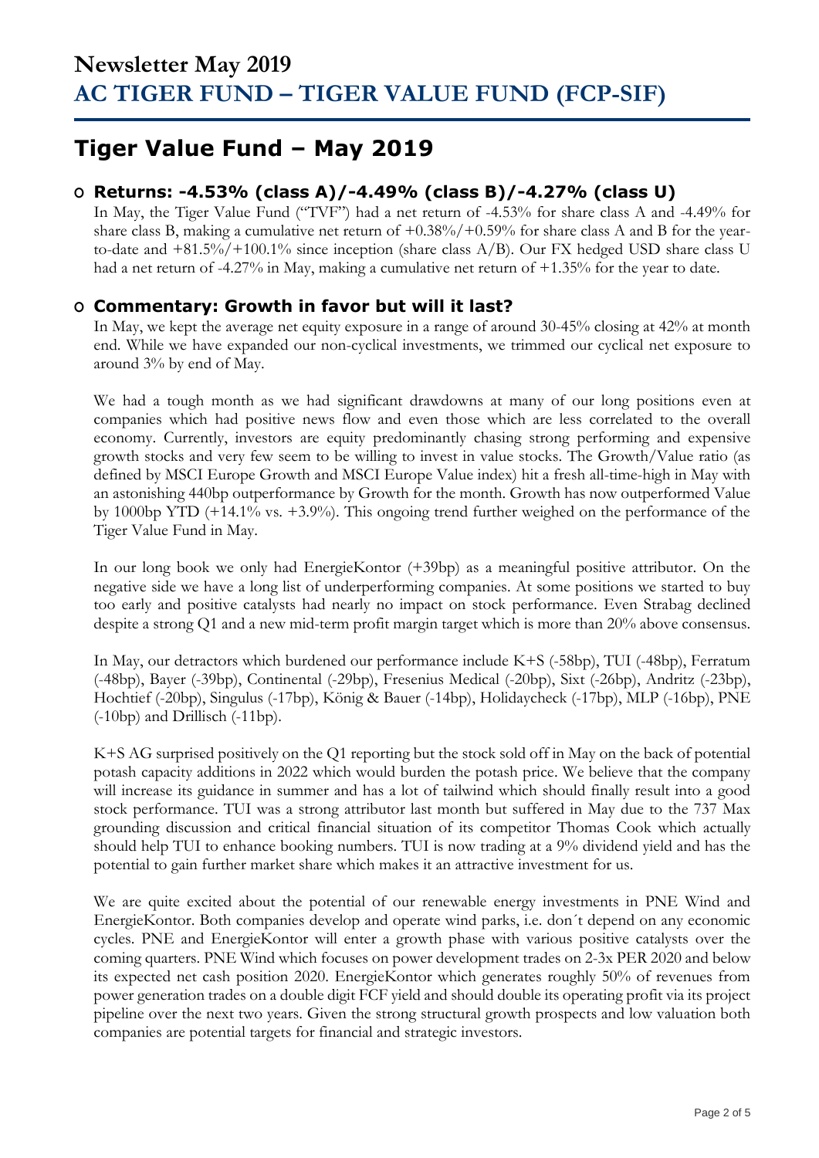## **Tiger Value Fund – May 2019**

### **O Returns: -4.53% (class A)/-4.49% (class B)/-4.27% (class U)**

In May, the Tiger Value Fund ("TVF") had a net return of -4.53% for share class A and -4.49% for share class B, making a cumulative net return of  $+0.38\%/+0.59\%$  for share class A and B for the yearto-date and  $+81.5\%/+100.1\%$  since inception (share class A/B). Our FX hedged USD share class U had a net return of -4.27% in May, making a cumulative net return of +1.35% for the year to date.

### **O Commentary: Growth in favor but will it last?**

In May, we kept the average net equity exposure in a range of around 30-45% closing at 42% at month end. While we have expanded our non-cyclical investments, we trimmed our cyclical net exposure to around 3% by end of May.

We had a tough month as we had significant drawdowns at many of our long positions even at companies which had positive news flow and even those which are less correlated to the overall economy. Currently, investors are equity predominantly chasing strong performing and expensive growth stocks and very few seem to be willing to invest in value stocks. The Growth/Value ratio (as defined by MSCI Europe Growth and MSCI Europe Value index) hit a fresh all-time-high in May with an astonishing 440bp outperformance by Growth for the month. Growth has now outperformed Value by 1000bp YTD (+14.1% vs. +3.9%). This ongoing trend further weighed on the performance of the Tiger Value Fund in May.

In our long book we only had EnergieKontor (+39bp) as a meaningful positive attributor. On the negative side we have a long list of underperforming companies. At some positions we started to buy too early and positive catalysts had nearly no impact on stock performance. Even Strabag declined despite a strong Q1 and a new mid-term profit margin target which is more than 20% above consensus.

In May, our detractors which burdened our performance include K+S (-58bp), TUI (-48bp), Ferratum (-48bp), Bayer (-39bp), Continental (-29bp), Fresenius Medical (-20bp), Sixt (-26bp), Andritz (-23bp), Hochtief (-20bp), Singulus (-17bp), König & Bauer (-14bp), Holidaycheck (-17bp), MLP (-16bp), PNE (-10bp) and Drillisch (-11bp).

K+S AG surprised positively on the Q1 reporting but the stock sold off in May on the back of potential potash capacity additions in 2022 which would burden the potash price. We believe that the company will increase its guidance in summer and has a lot of tailwind which should finally result into a good stock performance. TUI was a strong attributor last month but suffered in May due to the 737 Max grounding discussion and critical financial situation of its competitor Thomas Cook which actually should help TUI to enhance booking numbers. TUI is now trading at a 9% dividend yield and has the potential to gain further market share which makes it an attractive investment for us.

We are quite excited about the potential of our renewable energy investments in PNE Wind and EnergieKontor. Both companies develop and operate wind parks, i.e. don´t depend on any economic cycles. PNE and EnergieKontor will enter a growth phase with various positive catalysts over the coming quarters. PNE Wind which focuses on power development trades on 2-3x PER 2020 and below its expected net cash position 2020. EnergieKontor which generates roughly 50% of revenues from power generation trades on a double digit FCF yield and should double its operating profit via its project pipeline over the next two years. Given the strong structural growth prospects and low valuation both companies are potential targets for financial and strategic investors.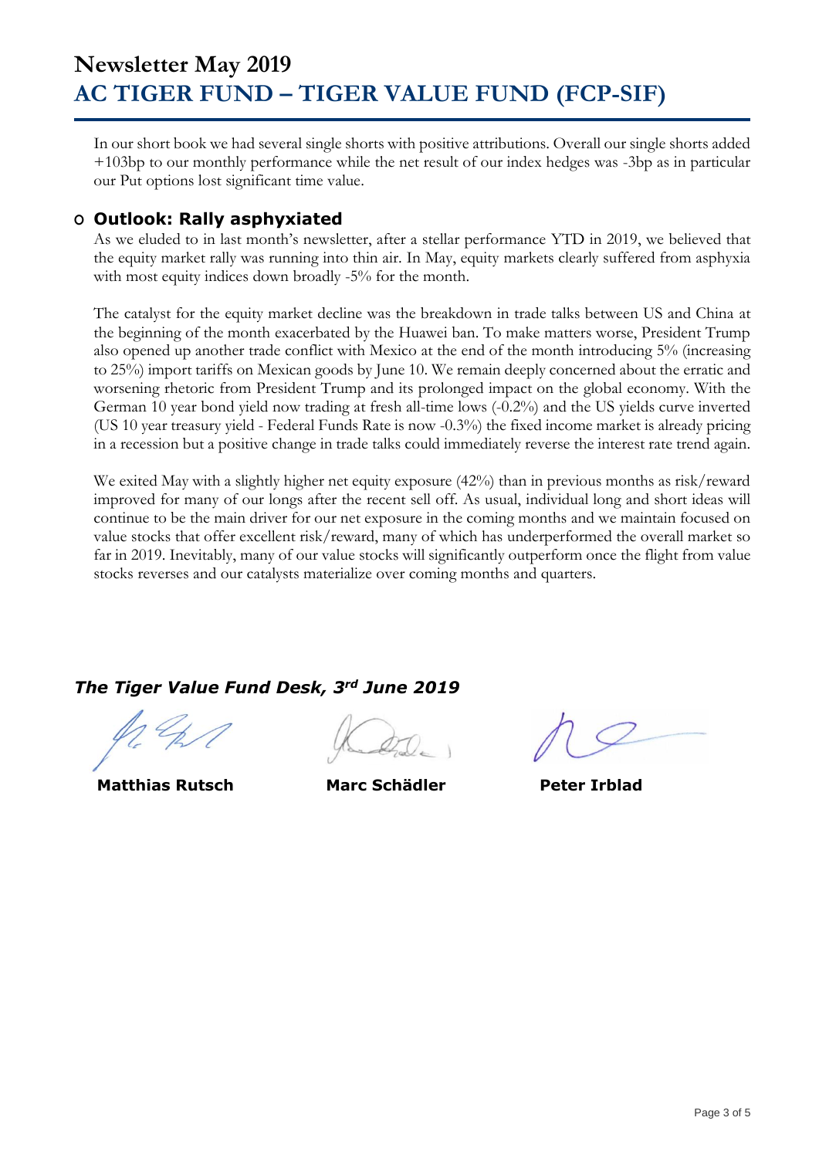In our short book we had several single shorts with positive attributions. Overall our single shorts added +103bp to our monthly performance while the net result of our index hedges was -3bp as in particular our Put options lost significant time value.

### **O Outlook: Rally asphyxiated**

As we eluded to in last month's newsletter, after a stellar performance YTD in 2019, we believed that the equity market rally was running into thin air. In May, equity markets clearly suffered from asphyxia with most equity indices down broadly -5% for the month.

The catalyst for the equity market decline was the breakdown in trade talks between US and China at the beginning of the month exacerbated by the Huawei ban. To make matters worse, President Trump also opened up another trade conflict with Mexico at the end of the month introducing 5% (increasing to 25%) import tariffs on Mexican goods by June 10. We remain deeply concerned about the erratic and worsening rhetoric from President Trump and its prolonged impact on the global economy. With the German 10 year bond yield now trading at fresh all-time lows (-0.2%) and the US yields curve inverted (US 10 year treasury yield - Federal Funds Rate is now -0.3%) the fixed income market is already pricing in a recession but a positive change in trade talks could immediately reverse the interest rate trend again.

We exited May with a slightly higher net equity exposure (42%) than in previous months as risk/reward improved for many of our longs after the recent sell off. As usual, individual long and short ideas will continue to be the main driver for our net exposure in the coming months and we maintain focused on value stocks that offer excellent risk/reward, many of which has underperformed the overall market so far in 2019. Inevitably, many of our value stocks will significantly outperform once the flight from value stocks reverses and our catalysts materialize over coming months and quarters.

### *The Tiger Value Fund Desk, 3rd June 2019*

 **Matthias Rutsch Marc Schädler Peter Irblad**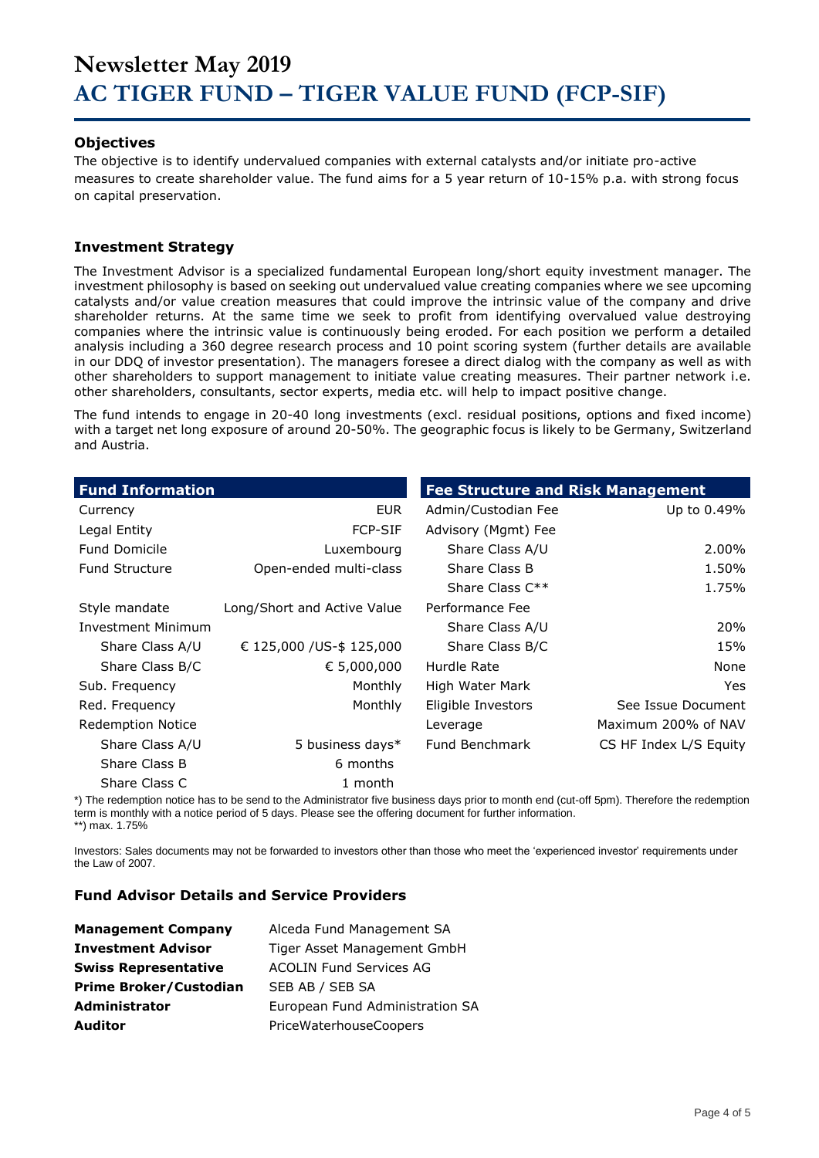#### **Objectives**

The objective is to identify undervalued companies with external catalysts and/or initiate pro-active measures to create shareholder value. The fund aims for a 5 year return of 10-15% p.a. with strong focus on capital preservation.

#### **Investment Strategy**

The Investment Advisor is a specialized fundamental European long/short equity investment manager. The investment philosophy is based on seeking out undervalued value creating companies where we see upcoming catalysts and/or value creation measures that could improve the intrinsic value of the company and drive shareholder returns. At the same time we seek to profit from identifying overvalued value destroying companies where the intrinsic value is continuously being eroded. For each position we perform a detailed analysis including a 360 degree research process and 10 point scoring system (further details are available in our DDQ of investor presentation). The managers foresee a direct dialog with the company as well as with other shareholders to support management to initiate value creating measures. Their partner network i.e. other shareholders, consultants, sector experts, media etc. will help to impact positive change.

The fund intends to engage in 20-40 long investments (excl. residual positions, options and fixed income) with a target net long exposure of around 20-50%. The geographic focus is likely to be Germany, Switzerland and Austria.

| <b>Fund Information</b>   |                             | <b>Fee Structure and Risk Management</b> |                        |  |  |  |
|---------------------------|-----------------------------|------------------------------------------|------------------------|--|--|--|
| Currency                  | EUR.                        | Admin/Custodian Fee                      | Up to 0.49%            |  |  |  |
| Legal Entity              | <b>FCP-SIF</b>              | Advisory (Mgmt) Fee                      |                        |  |  |  |
| <b>Fund Domicile</b>      | Luxembourg                  | Share Class A/U                          | 2.00%                  |  |  |  |
| <b>Fund Structure</b>     | Open-ended multi-class      | Share Class B                            | 1.50%                  |  |  |  |
|                           |                             | Share Class $C^{**}$                     | 1.75%                  |  |  |  |
| Style mandate             | Long/Short and Active Value | Performance Fee                          |                        |  |  |  |
| <b>Investment Minimum</b> |                             | Share Class A/U                          | 20%                    |  |  |  |
| Share Class A/U           | € 125,000 / US-\$ 125,000   | Share Class B/C                          | 15%                    |  |  |  |
| Share Class B/C           | € 5,000,000                 | Hurdle Rate                              | None                   |  |  |  |
| Sub. Frequency            | Monthly                     | High Water Mark                          | <b>Yes</b>             |  |  |  |
| Red. Frequency            | Monthly                     | Eligible Investors                       | See Issue Document     |  |  |  |
| <b>Redemption Notice</b>  |                             | Leverage                                 | Maximum 200% of NAV    |  |  |  |
| Share Class A/U           | 5 business days*            | <b>Fund Benchmark</b>                    | CS HF Index L/S Equity |  |  |  |
| Share Class B             | 6 months                    |                                          |                        |  |  |  |
| Share Class C             | 1 month                     |                                          |                        |  |  |  |

\*) The redemption notice has to be send to the Administrator five business days prior to month end (cut-off 5pm). Therefore the redemption term is monthly with a notice period of 5 days. Please see the offering document for further information. \*\*) max. 1.75%

Investors: Sales documents may not be forwarded to investors other than those who meet the 'experienced investor' requirements under the Law of 2007.

#### **Fund Advisor Details and Service Providers**

| <b>Management Company</b>     | Alceda Fund Management SA       |
|-------------------------------|---------------------------------|
| <b>Investment Advisor</b>     | Tiger Asset Management GmbH     |
| <b>Swiss Representative</b>   | <b>ACOLIN Fund Services AG</b>  |
| <b>Prime Broker/Custodian</b> | SEB AB / SEB SA                 |
| <b>Administrator</b>          | European Fund Administration SA |
| <b>Auditor</b>                | PriceWaterhouseCoopers          |